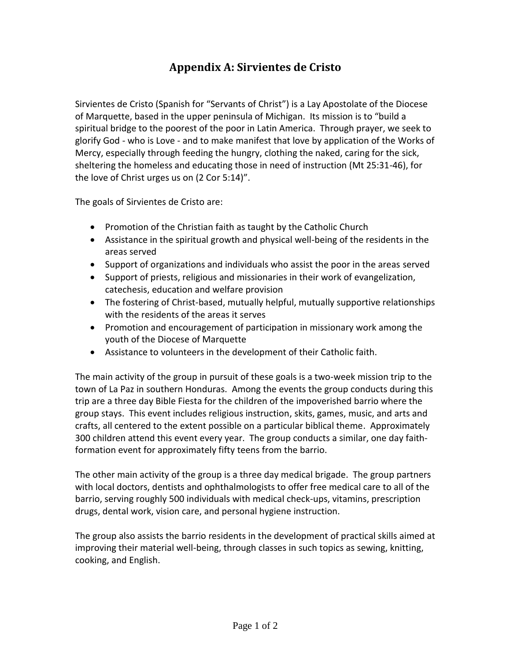## **Appendix A: Sirvientes de Cristo**

Sirvientes de Cristo (Spanish for "Servants of Christ") is a Lay Apostolate of the Diocese of Marquette, based in the upper peninsula of Michigan. Its mission is to "build a spiritual bridge to the poorest of the poor in Latin America. Through prayer, we seek to glorify God - who is Love - and to make manifest that love by application of the Works of Mercy, especially through feeding the hungry, clothing the naked, caring for the sick, sheltering the homeless and educating those in need of instruction (Mt 25:31-46), for the love of Christ urges us on (2 Cor 5:14)".

The goals of Sirvientes de Cristo are:

- Promotion of the Christian faith as taught by the Catholic Church
- Assistance in the spiritual growth and physical well-being of the residents in the areas served
- Support of organizations and individuals who assist the poor in the areas served
- Support of priests, religious and missionaries in their work of evangelization, catechesis, education and welfare provision
- The fostering of Christ-based, mutually helpful, mutually supportive relationships with the residents of the areas it serves
- Promotion and encouragement of participation in missionary work among the youth of the Diocese of Marquette
- Assistance to volunteers in the development of their Catholic faith.

The main activity of the group in pursuit of these goals is a two-week mission trip to the town of La Paz in southern Honduras. Among the events the group conducts during this trip are a three day Bible Fiesta for the children of the impoverished barrio where the group stays. This event includes religious instruction, skits, games, music, and arts and crafts, all centered to the extent possible on a particular biblical theme. Approximately 300 children attend this event every year. The group conducts a similar, one day faithformation event for approximately fifty teens from the barrio.

The other main activity of the group is a three day medical brigade. The group partners with local doctors, dentists and ophthalmologists to offer free medical care to all of the barrio, serving roughly 500 individuals with medical check-ups, vitamins, prescription drugs, dental work, vision care, and personal hygiene instruction.

The group also assists the barrio residents in the development of practical skills aimed at improving their material well-being, through classes in such topics as sewing, knitting, cooking, and English.